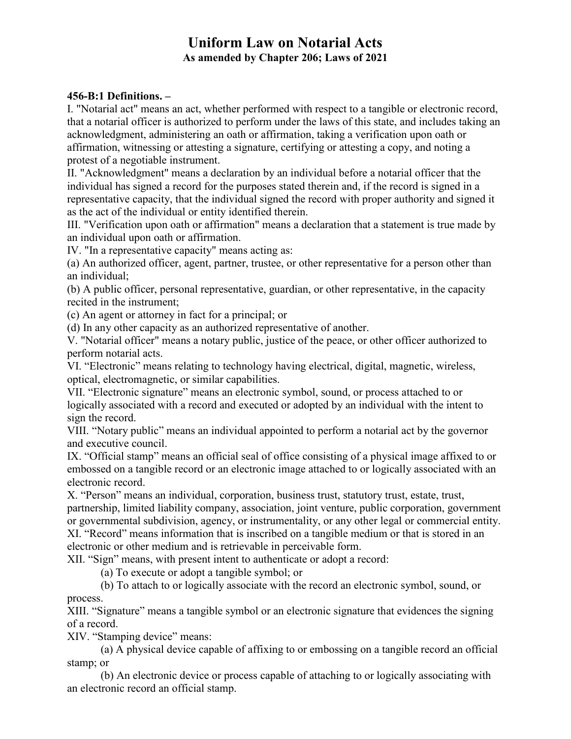# **Uniform Law on Notarial Acts As amended by Chapter 206; Laws of 2021**

#### **456-B:1 Definitions. –**

I. "Notarial act" means an act, whether performed with respect to a tangible or electronic record, that a notarial officer is authorized to perform under the laws of this state, and includes taking an acknowledgment, administering an oath or affirmation, taking a verification upon oath or affirmation, witnessing or attesting a signature, certifying or attesting a copy, and noting a protest of a negotiable instrument.

II. "Acknowledgment" means a declaration by an individual before a notarial officer that the individual has signed a record for the purposes stated therein and, if the record is signed in a representative capacity, that the individual signed the record with proper authority and signed it as the act of the individual or entity identified therein.

III. "Verification upon oath or affirmation" means a declaration that a statement is true made by an individual upon oath or affirmation.

IV. "In a representative capacity" means acting as:

(a) An authorized officer, agent, partner, trustee, or other representative for a person other than an individual;

(b) A public officer, personal representative, guardian, or other representative, in the capacity recited in the instrument;

(c) An agent or attorney in fact for a principal; or

(d) In any other capacity as an authorized representative of another.

V. "Notarial officer" means a notary public, justice of the peace, or other officer authorized to perform notarial acts.

VI. "Electronic" means relating to technology having electrical, digital, magnetic, wireless, optical, electromagnetic, or similar capabilities.

VII. "Electronic signature" means an electronic symbol, sound, or process attached to or logically associated with a record and executed or adopted by an individual with the intent to sign the record.

VIII. "Notary public" means an individual appointed to perform a notarial act by the governor and executive council.

IX. "Official stamp" means an official seal of office consisting of a physical image affixed to or embossed on a tangible record or an electronic image attached to or logically associated with an electronic record.

X. "Person" means an individual, corporation, business trust, statutory trust, estate, trust, partnership, limited liability company, association, joint venture, public corporation, government or governmental subdivision, agency, or instrumentality, or any other legal or commercial entity. XI. "Record" means information that is inscribed on a tangible medium or that is stored in an electronic or other medium and is retrievable in perceivable form.

XII. "Sign" means, with present intent to authenticate or adopt a record:

(a) To execute or adopt a tangible symbol; or

(b) To attach to or logically associate with the record an electronic symbol, sound, or process.

XIII. "Signature" means a tangible symbol or an electronic signature that evidences the signing of a record.

XIV. "Stamping device" means:

(a) A physical device capable of affixing to or embossing on a tangible record an official stamp; or

(b) An electronic device or process capable of attaching to or logically associating with an electronic record an official stamp.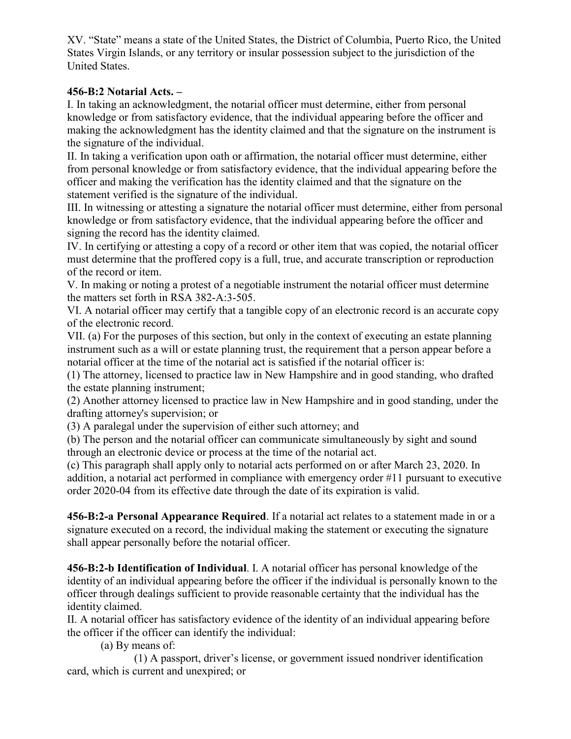XV. "State" means a state of the United States, the District of Columbia, Puerto Rico, the United States Virgin Islands, or any territory or insular possession subject to the jurisdiction of the United States.

## **456-B:2 Notarial Acts. –**

I. In taking an acknowledgment, the notarial officer must determine, either from personal knowledge or from satisfactory evidence, that the individual appearing before the officer and making the acknowledgment has the identity claimed and that the signature on the instrument is the signature of the individual.

II. In taking a verification upon oath or affirmation, the notarial officer must determine, either from personal knowledge or from satisfactory evidence, that the individual appearing before the officer and making the verification has the identity claimed and that the signature on the statement verified is the signature of the individual.

III. In witnessing or attesting a signature the notarial officer must determine, either from personal knowledge or from satisfactory evidence, that the individual appearing before the officer and signing the record has the identity claimed.

IV. In certifying or attesting a copy of a record or other item that was copied, the notarial officer must determine that the proffered copy is a full, true, and accurate transcription or reproduction of the record or item.

V. In making or noting a protest of a negotiable instrument the notarial officer must determine the matters set forth in RSA 382-A:3-505.

VI. A notarial officer may certify that a tangible copy of an electronic record is an accurate copy of the electronic record.

VII. (a) For the purposes of this section, but only in the context of executing an estate planning instrument such as a will or estate planning trust, the requirement that a person appear before a notarial officer at the time of the notarial act is satisfied if the notarial officer is:

(1) The attorney, licensed to practice law in New Hampshire and in good standing, who drafted the estate planning instrument;

(2) Another attorney licensed to practice law in New Hampshire and in good standing, under the drafting attorney's supervision; or

(3) A paralegal under the supervision of either such attorney; and

(b) The person and the notarial officer can communicate simultaneously by sight and sound through an electronic device or process at the time of the notarial act.

(c) This paragraph shall apply only to notarial acts performed on or after March 23, 2020. In addition, a notarial act performed in compliance with emergency order #11 pursuant to executive order 2020-04 from its effective date through the date of its expiration is valid.

**456-B:2-a Personal Appearance Required**. If a notarial act relates to a statement made in or a signature executed on a record, the individual making the statement or executing the signature shall appear personally before the notarial officer.

**456-B:2-b Identification of Individual**. I. A notarial officer has personal knowledge of the identity of an individual appearing before the officer if the individual is personally known to the officer through dealings sufficient to provide reasonable certainty that the individual has the identity claimed.

II. A notarial officer has satisfactory evidence of the identity of an individual appearing before the officer if the officer can identify the individual:

(a) By means of:

(1) A passport, driver's license, or government issued nondriver identification card, which is current and unexpired; or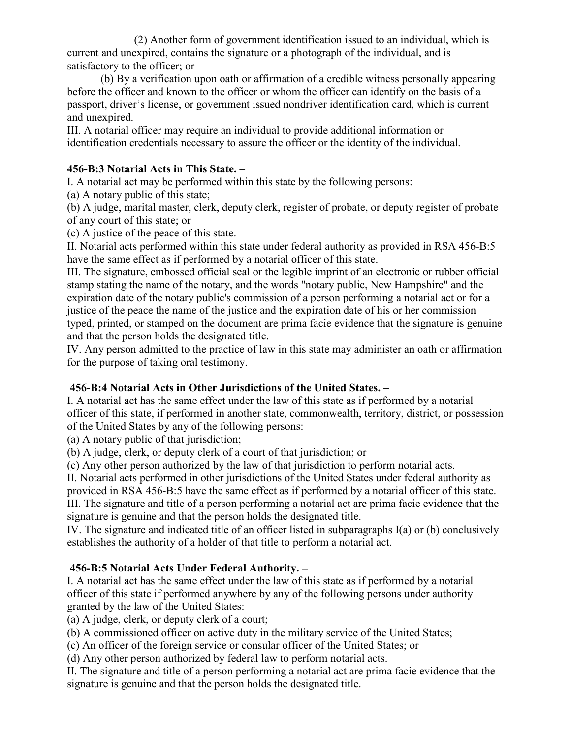(2) Another form of government identification issued to an individual, which is current and unexpired, contains the signature or a photograph of the individual, and is satisfactory to the officer; or

(b) By a verification upon oath or affirmation of a credible witness personally appearing before the officer and known to the officer or whom the officer can identify on the basis of a passport, driver's license, or government issued nondriver identification card, which is current and unexpired.

III. A notarial officer may require an individual to provide additional information or identification credentials necessary to assure the officer or the identity of the individual.

## **456-B:3 Notarial Acts in This State. –**

I. A notarial act may be performed within this state by the following persons:

(a) A notary public of this state;

(b) A judge, marital master, clerk, deputy clerk, register of probate, or deputy register of probate of any court of this state; or

(c) A justice of the peace of this state.

II. Notarial acts performed within this state under federal authority as provided in RSA 456-B:5 have the same effect as if performed by a notarial officer of this state.

III. The signature, embossed official seal or the legible imprint of an electronic or rubber official stamp stating the name of the notary, and the words "notary public, New Hampshire" and the expiration date of the notary public's commission of a person performing a notarial act or for a justice of the peace the name of the justice and the expiration date of his or her commission typed, printed, or stamped on the document are prima facie evidence that the signature is genuine and that the person holds the designated title.

IV. Any person admitted to the practice of law in this state may administer an oath or affirmation for the purpose of taking oral testimony.

## **456-B:4 Notarial Acts in Other Jurisdictions of the United States. –**

I. A notarial act has the same effect under the law of this state as if performed by a notarial officer of this state, if performed in another state, commonwealth, territory, district, or possession of the United States by any of the following persons:

(a) A notary public of that jurisdiction;

(b) A judge, clerk, or deputy clerk of a court of that jurisdiction; or

(c) Any other person authorized by the law of that jurisdiction to perform notarial acts.

II. Notarial acts performed in other jurisdictions of the United States under federal authority as provided in RSA 456-B:5 have the same effect as if performed by a notarial officer of this state. III. The signature and title of a person performing a notarial act are prima facie evidence that the signature is genuine and that the person holds the designated title.

IV. The signature and indicated title of an officer listed in subparagraphs I(a) or (b) conclusively establishes the authority of a holder of that title to perform a notarial act.

## **456-B:5 Notarial Acts Under Federal Authority. –**

I. A notarial act has the same effect under the law of this state as if performed by a notarial officer of this state if performed anywhere by any of the following persons under authority granted by the law of the United States:

(a) A judge, clerk, or deputy clerk of a court;

(b) A commissioned officer on active duty in the military service of the United States;

(c) An officer of the foreign service or consular officer of the United States; or

(d) Any other person authorized by federal law to perform notarial acts.

II. The signature and title of a person performing a notarial act are prima facie evidence that the signature is genuine and that the person holds the designated title.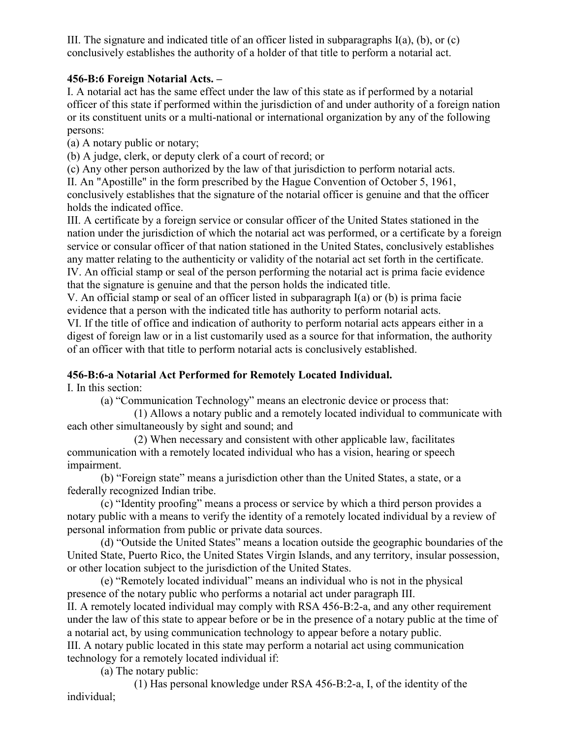III. The signature and indicated title of an officer listed in subparagraphs  $I(a)$ ,  $(b)$ , or  $(c)$ conclusively establishes the authority of a holder of that title to perform a notarial act.

#### **456-B:6 Foreign Notarial Acts. –**

I. A notarial act has the same effect under the law of this state as if performed by a notarial officer of this state if performed within the jurisdiction of and under authority of a foreign nation or its constituent units or a multi-national or international organization by any of the following persons:

(a) A notary public or notary;

(b) A judge, clerk, or deputy clerk of a court of record; or

(c) Any other person authorized by the law of that jurisdiction to perform notarial acts.

II. An "Apostille" in the form prescribed by the Hague Convention of October 5, 1961, conclusively establishes that the signature of the notarial officer is genuine and that the officer holds the indicated office.

III. A certificate by a foreign service or consular officer of the United States stationed in the nation under the jurisdiction of which the notarial act was performed, or a certificate by a foreign service or consular officer of that nation stationed in the United States, conclusively establishes any matter relating to the authenticity or validity of the notarial act set forth in the certificate. IV. An official stamp or seal of the person performing the notarial act is prima facie evidence that the signature is genuine and that the person holds the indicated title.

V. An official stamp or seal of an officer listed in subparagraph I(a) or (b) is prima facie evidence that a person with the indicated title has authority to perform notarial acts.

VI. If the title of office and indication of authority to perform notarial acts appears either in a digest of foreign law or in a list customarily used as a source for that information, the authority of an officer with that title to perform notarial acts is conclusively established.

## **456-B:6-a Notarial Act Performed for Remotely Located Individual.**

I. In this section:

(a) "Communication Technology" means an electronic device or process that:

(1) Allows a notary public and a remotely located individual to communicate with each other simultaneously by sight and sound; and

(2) When necessary and consistent with other applicable law, facilitates communication with a remotely located individual who has a vision, hearing or speech impairment.

(b) "Foreign state" means a jurisdiction other than the United States, a state, or a federally recognized Indian tribe.

(c) "Identity proofing" means a process or service by which a third person provides a notary public with a means to verify the identity of a remotely located individual by a review of personal information from public or private data sources.

(d) "Outside the United States" means a location outside the geographic boundaries of the United State, Puerto Rico, the United States Virgin Islands, and any territory, insular possession, or other location subject to the jurisdiction of the United States.

(e) "Remotely located individual" means an individual who is not in the physical presence of the notary public who performs a notarial act under paragraph III.

II. A remotely located individual may comply with RSA 456-B:2-a, and any other requirement under the law of this state to appear before or be in the presence of a notary public at the time of a notarial act, by using communication technology to appear before a notary public.

III. A notary public located in this state may perform a notarial act using communication technology for a remotely located individual if:

(a) The notary public:

(1) Has personal knowledge under RSA 456-B:2-a, I, of the identity of the individual;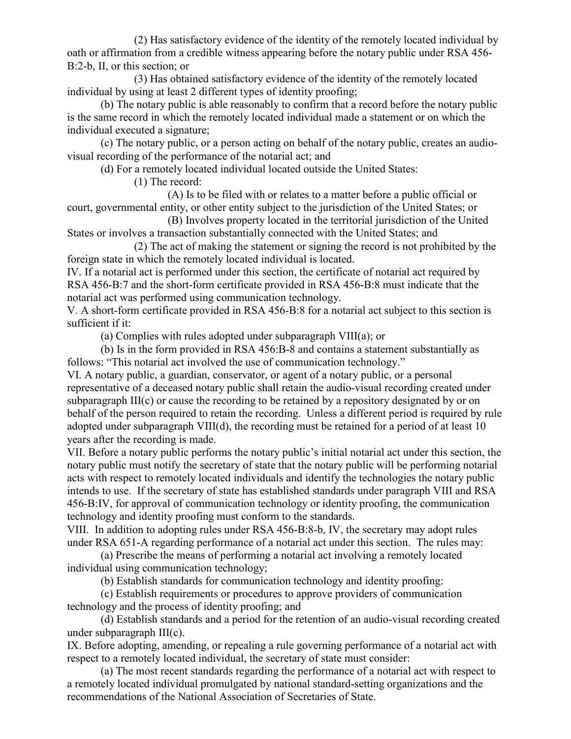(2) Has satisfactory evidence of the identity of the remotely located individual by oath or affirmation from a credible witness appearing before the notary public under RSA 456- B:2-b, II, or this section; or

(3) Has obtained satisfactory evidence of the identity of the remotely located individual by using at least 2 different types of identity proofing;

(b) The notary public is able reasonably to confirm that a record before the notary public is the same record in which the remotely located individual made a statement or on which the individual executed a signature;

(c) The notary public, or a person acting on behalf of the notary public, creates an audiovisual recording of the performance of the notarial act; and

(d) For a remotely located individual located outside the United States:

(1) The record:

(A) Is to be filed with or relates to a matter before a public official or court, governmental entity, or other entity subject to the jurisdiction of the United States; or

(B) Involves property located in the territorial jurisdiction of the United States or involves a transaction substantially connected with the United States; and

(2) The act of making the statement or signing the record is not prohibited by the foreign state in which the remotely located individual is located.

IV. If a notarial act is performed under this section, the certificate of notarial act required by RSA 456-B:7 and the short-form certificate provided in RSA 456-B:8 must indicate that the notarial act was performed using communication technology.

V. A short-form certificate provided in RSA 456-B:8 for a notarial act subject to this section is sufficient if it:

(a) Complies with rules adopted under subparagraph VIII(a); or

(b) Is in the form provided in RSA 456:B-8 and contains a statement substantially as follows: "This notarial act involved the use of communication technology."

VI. A notary public, a guardian, conservator, or agent of a notary public, or a personal representative of a deceased notary public shall retain the audio-visual recording created under subparagraph  $III(c)$  or cause the recording to be retained by a repository designated by or on behalf of the person required to retain the recording. Unless a different period is required by rule adopted under subparagraph VIII(d), the recording must be retained for a period of at least 10 years after the recording is made.

VII. Before a notary public performs the notary public's initial notarial act under this section, the notary public must notify the secretary of state that the notary public will be performing notarial acts with respect to remotely located individuals and identify the technologies the notary public intends to use. If the secretary of state has established standards under paragraph VIII and RSA 456-B:IV, for approval of communication technology or identity proofing, the communication technology and identity proofing must conform to the standards.

VIII. In addition to adopting rules under RSA 456-B:8-b, IV, the secretary may adopt rules under RSA 651-A regarding performance of a notarial act under this section. The rules may:

(a) Prescribe the means of performing a notarial act involving a remotely located individual using communication technology;

(b) Establish standards for communication technology and identity proofing:

(c) Establish requirements or procedures to approve providers of communication technology and the process of identity proofing; and

(d) Establish standards and a period for the retention of an audio-visual recording created under subparagraph III(c).

IX. Before adopting, amending, or repealing a rule governing performance of a notarial act with respect to a remotely located individual, the secretary of state must consider:

(a) The most recent standards regarding the performance of a notarial act with respect to a remotely located individual promulgated by national standard-setting organizations and the recommendations of the National Association of Secretaries of State.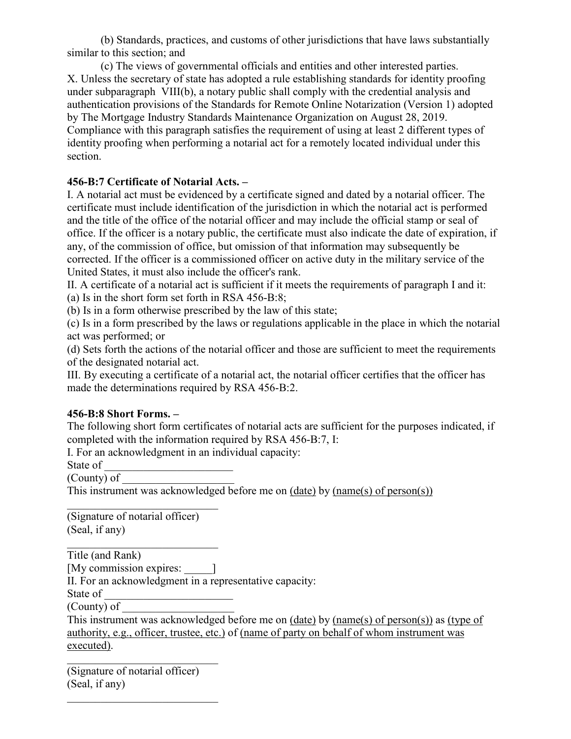(b) Standards, practices, and customs of other jurisdictions that have laws substantially similar to this section; and

(c) The views of governmental officials and entities and other interested parties. X. Unless the secretary of state has adopted a rule establishing standards for identity proofing under subparagraph VIII(b), a notary public shall comply with the credential analysis and authentication provisions of the Standards for Remote Online Notarization (Version 1) adopted by The Mortgage Industry Standards Maintenance Organization on August 28, 2019. Compliance with this paragraph satisfies the requirement of using at least 2 different types of identity proofing when performing a notarial act for a remotely located individual under this section.

## **456-B:7 Certificate of Notarial Acts. –**

I. A notarial act must be evidenced by a certificate signed and dated by a notarial officer. The certificate must include identification of the jurisdiction in which the notarial act is performed and the title of the office of the notarial officer and may include the official stamp or seal of office. If the officer is a notary public, the certificate must also indicate the date of expiration, if any, of the commission of office, but omission of that information may subsequently be corrected. If the officer is a commissioned officer on active duty in the military service of the United States, it must also include the officer's rank.

II. A certificate of a notarial act is sufficient if it meets the requirements of paragraph I and it: (a) Is in the short form set forth in RSA 456-B:8;

(b) Is in a form otherwise prescribed by the law of this state;

(c) Is in a form prescribed by the laws or regulations applicable in the place in which the notarial act was performed; or

(d) Sets forth the actions of the notarial officer and those are sufficient to meet the requirements of the designated notarial act.

III. By executing a certificate of a notarial act, the notarial officer certifies that the officer has made the determinations required by RSA 456-B:2.

#### **456-B:8 Short Forms. –**

The following short form certificates of notarial acts are sufficient for the purposes indicated, if completed with the information required by RSA 456-B:7, I:

I. For an acknowledgment in an individual capacity:

State of

(County) of

This instrument was acknowledged before me on (date) by (name(s) of person(s))

\_\_\_\_\_\_\_\_\_\_\_\_\_\_\_\_\_\_\_\_\_\_\_\_\_\_\_ (Signature of notarial officer) (Seal, if any)

\_\_\_\_\_\_\_\_\_\_\_\_\_\_\_\_\_\_\_\_\_\_\_\_\_\_\_ Title (and Rank) [My commission expires:  $\qquad$  ] II. For an acknowledgment in a representative capacity: State of \_\_\_\_\_\_\_\_\_\_\_\_\_\_\_\_\_\_\_\_\_\_\_ (County) of

This instrument was acknowledged before me on (date) by (name(s) of person(s)) as (type of authority, e.g., officer, trustee, etc.) of (name of party on behalf of whom instrument was executed).

(Signature of notarial officer) (Seal, if any)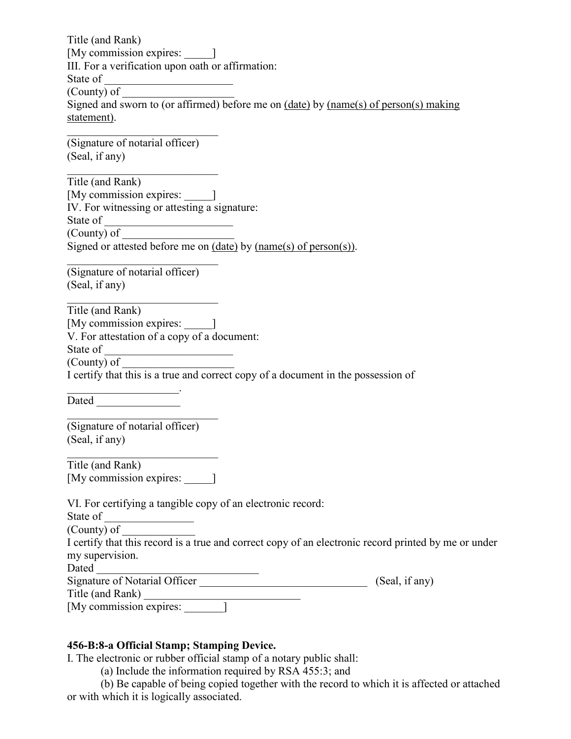Title (and Rank) [My commission expires: \_\_\_\_\_] III. For a verification upon oath or affirmation: State of \_\_\_\_\_\_\_\_\_\_\_\_\_\_\_\_\_\_\_\_\_\_\_ (County) of Signed and sworn to (or affirmed) before me on (date) by (name(s) of person(s) making statement). \_\_\_\_\_\_\_\_\_\_\_\_\_\_\_\_\_\_\_\_\_\_\_\_\_\_\_ (Signature of notarial officer) (Seal, if any) Title (and Rank) [My commission expires:  $\Box$ ] IV. For witnessing or attesting a signature: State of \_\_\_\_\_\_\_\_\_\_\_\_\_\_\_\_\_\_\_\_\_\_\_ (County) of Signed or attested before me on (date) by (name(s) of person(s)). \_\_\_\_\_\_\_\_\_\_\_\_\_\_\_\_\_\_\_\_\_\_\_\_\_\_\_ (Signature of notarial officer) (Seal, if any) Title (and Rank) [My commission expires:  $\Box$ ] V. For attestation of a copy of a document: State of \_\_\_\_\_\_\_\_\_\_\_\_\_\_\_\_\_\_\_\_\_\_\_ (County) of I certify that this is a true and correct copy of a document in the possession of  $\mathcal{L}_\text{max}$  , where  $\mathcal{L}_\text{max}$ Dated  $\Box$ \_\_\_\_\_\_\_\_\_\_\_\_\_\_\_\_\_\_\_\_\_\_\_\_\_\_\_ (Signature of notarial officer) (Seal, if any)

| Title (and Rank)        |  |
|-------------------------|--|
| [My commission expires: |  |

\_\_\_\_\_\_\_\_\_\_\_\_\_\_\_\_\_\_\_\_\_\_\_\_\_\_\_

| VI. For certifying a tangible copy of an electronic record:                                          |                |
|------------------------------------------------------------------------------------------------------|----------------|
| State of                                                                                             |                |
| (County) of                                                                                          |                |
| I certify that this record is a true and correct copy of an electronic record printed by me or under |                |
| my supervision.                                                                                      |                |
| Dated                                                                                                |                |
| Signature of Notarial Officer                                                                        | (Seal, if any) |
| Title (and Rank)                                                                                     |                |
| [My commission expires:                                                                              |                |

#### **456-B:8-a Official Stamp; Stamping Device.**

I. The electronic or rubber official stamp of a notary public shall:

(a) Include the information required by RSA 455:3; and

(b) Be capable of being copied together with the record to which it is affected or attached or with which it is logically associated.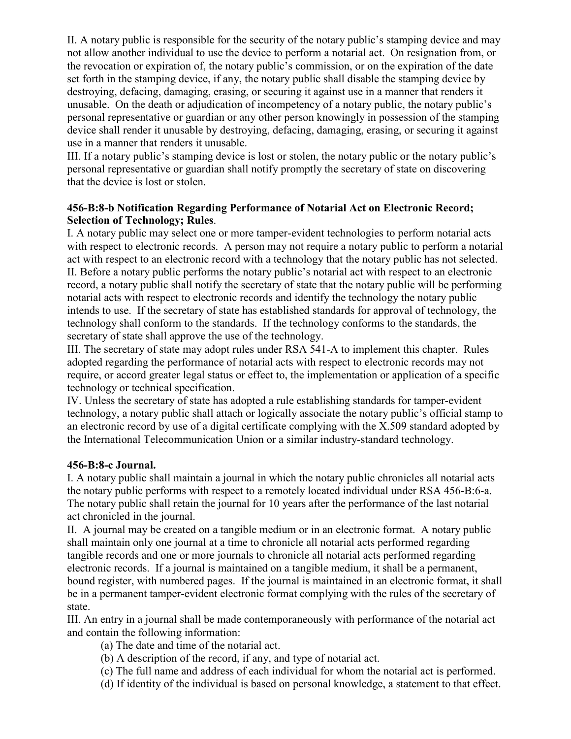II. A notary public is responsible for the security of the notary public's stamping device and may not allow another individual to use the device to perform a notarial act. On resignation from, or the revocation or expiration of, the notary public's commission, or on the expiration of the date set forth in the stamping device, if any, the notary public shall disable the stamping device by destroying, defacing, damaging, erasing, or securing it against use in a manner that renders it unusable. On the death or adjudication of incompetency of a notary public, the notary public's personal representative or guardian or any other person knowingly in possession of the stamping device shall render it unusable by destroying, defacing, damaging, erasing, or securing it against use in a manner that renders it unusable.

III. If a notary public's stamping device is lost or stolen, the notary public or the notary public's personal representative or guardian shall notify promptly the secretary of state on discovering that the device is lost or stolen.

#### **456-B:8-b Notification Regarding Performance of Notarial Act on Electronic Record; Selection of Technology; Rules**.

I. A notary public may select one or more tamper-evident technologies to perform notarial acts with respect to electronic records. A person may not require a notary public to perform a notarial act with respect to an electronic record with a technology that the notary public has not selected. II. Before a notary public performs the notary public's notarial act with respect to an electronic record, a notary public shall notify the secretary of state that the notary public will be performing notarial acts with respect to electronic records and identify the technology the notary public intends to use. If the secretary of state has established standards for approval of technology, the technology shall conform to the standards. If the technology conforms to the standards, the secretary of state shall approve the use of the technology.

III. The secretary of state may adopt rules under RSA 541-A to implement this chapter. Rules adopted regarding the performance of notarial acts with respect to electronic records may not require, or accord greater legal status or effect to, the implementation or application of a specific technology or technical specification.

IV. Unless the secretary of state has adopted a rule establishing standards for tamper-evident technology, a notary public shall attach or logically associate the notary public's official stamp to an electronic record by use of a digital certificate complying with the X.509 standard adopted by the International Telecommunication Union or a similar industry-standard technology.

#### **456-B:8-c Journal.**

I. A notary public shall maintain a journal in which the notary public chronicles all notarial acts the notary public performs with respect to a remotely located individual under RSA 456-B:6-a. The notary public shall retain the journal for 10 years after the performance of the last notarial act chronicled in the journal.

II. A journal may be created on a tangible medium or in an electronic format. A notary public shall maintain only one journal at a time to chronicle all notarial acts performed regarding tangible records and one or more journals to chronicle all notarial acts performed regarding electronic records. If a journal is maintained on a tangible medium, it shall be a permanent, bound register, with numbered pages. If the journal is maintained in an electronic format, it shall be in a permanent tamper-evident electronic format complying with the rules of the secretary of state.

III. An entry in a journal shall be made contemporaneously with performance of the notarial act and contain the following information:

(a) The date and time of the notarial act.

- (b) A description of the record, if any, and type of notarial act.
- (c) The full name and address of each individual for whom the notarial act is performed.
- (d) If identity of the individual is based on personal knowledge, a statement to that effect.